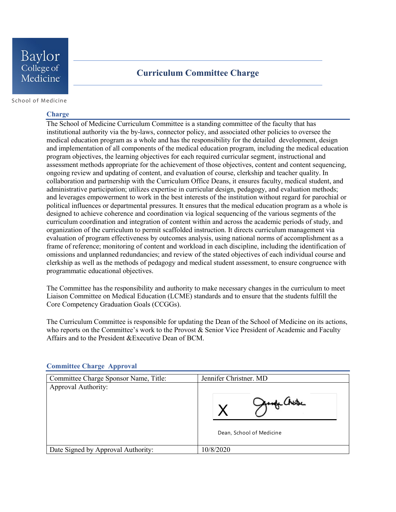## **Curriculum Committee Charge**

School of Medicine

#### **Charge**

The School of Medicine Curriculum Committee is a standing committee of the faculty that has institutional authority via the by-laws, connector policy, and associated other policies to oversee the medical education program as a whole and has the responsibility for the detailed development, design and implementation of all components of the medical education program, including the medical education program objectives, the learning objectives for each required curricular segment, instructional and assessment methods appropriate for the achievement of those objectives, content and content sequencing, ongoing review and updating of content, and evaluation of course, clerkship and teacher quality. In collaboration and partnership with the Curriculum Office Deans, it ensures faculty, medical student, and administrative participation; utilizes expertise in curricular design, pedagogy, and evaluation methods; and leverages empowerment to work in the best interests of the institution without regard for parochial or political influences or departmental pressures. It ensures that the medical education program as a whole is designed to achieve coherence and coordination via logical sequencing of the various segments of the curriculum coordination and integration of content within and across the academic periods of study, and organization of the curriculum to permit scaffolded instruction. It directs curriculum management via evaluation of program effectiveness by outcomes analysis, using national norms of accomplishment as a frame of reference; monitoring of content and workload in each discipline, including the identification of omissions and unplanned redundancies; and review of the stated objectives of each individual course and clerkship as well as the methods of pedagogy and medical student assessment, to ensure congruence with programmatic educational objectives.

The Committee has the responsibility and authority to make necessary changes in the curriculum to meet Liaison Committee on Medical Education (LCME) standards and to ensure that the students fulfill the Core Competency Graduation Goals (CCGGs).

The Curriculum Committee is responsible for updating the Dean of the School of Medicine on its actions, who reports on the Committee's work to the Provost & Senior Vice President of Academic and Faculty Affairs and to the President &Executive Dean of BCM.

| Committee Charge Sponsor Name, Title: | Jennifer Christner. MD   |
|---------------------------------------|--------------------------|
| Approval Authority:                   |                          |
|                                       | Dean, School of Medicine |
| Date Signed by Approval Authority:    | 10/8/2020                |

### **Committee Charge Approval**